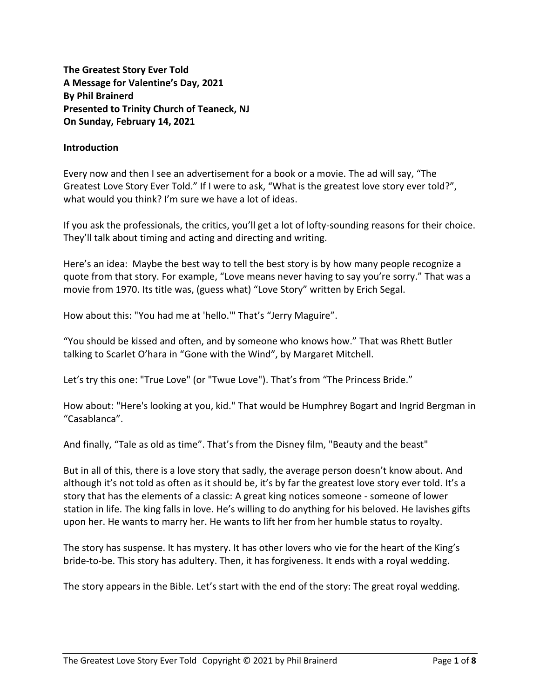**The Greatest Story Ever Told A Message for Valentine's Day, 2021 By Phil Brainerd Presented to Trinity Church of Teaneck, NJ On Sunday, February 14, 2021**

## **Introduction**

Every now and then I see an advertisement for a book or a movie. The ad will say, "The Greatest Love Story Ever Told." If I were to ask, "What is the greatest love story ever told?", what would you think? I'm sure we have a lot of ideas.

If you ask the professionals, the critics, you'll get a lot of lofty-sounding reasons for their choice. They'll talk about timing and acting and directing and writing.

Here's an idea: Maybe the best way to tell the best story is by how many people recognize a quote from that story. For example, "Love means never having to say you're sorry." That was a movie from 1970. Its title was, (guess what) "Love Story" written by Erich Segal.

How about this: "You had me at 'hello.'" That's "Jerry Maguire".

"You should be kissed and often, and by someone who knows how." That was Rhett Butler talking to Scarlet O'hara in "Gone with the Wind", by Margaret Mitchell.

Let's try this one: "True Love" (or "Twue Love"). That's from "The Princess Bride."

How about: "Here's looking at you, kid." That would be Humphrey Bogart and Ingrid Bergman in "Casablanca".

And finally, "Tale as old as time". That's from the Disney film, "Beauty and the beast"

But in all of this, there is a love story that sadly, the average person doesn't know about. And although it's not told as often as it should be, it's by far the greatest love story ever told. It's a story that has the elements of a classic: A great king notices someone - someone of lower station in life. The king falls in love. He's willing to do anything for his beloved. He lavishes gifts upon her. He wants to marry her. He wants to lift her from her humble status to royalty.

The story has suspense. It has mystery. It has other lovers who vie for the heart of the King's bride-to-be. This story has adultery. Then, it has forgiveness. It ends with a royal wedding.

The story appears in the Bible. Let's start with the end of the story: The great royal wedding.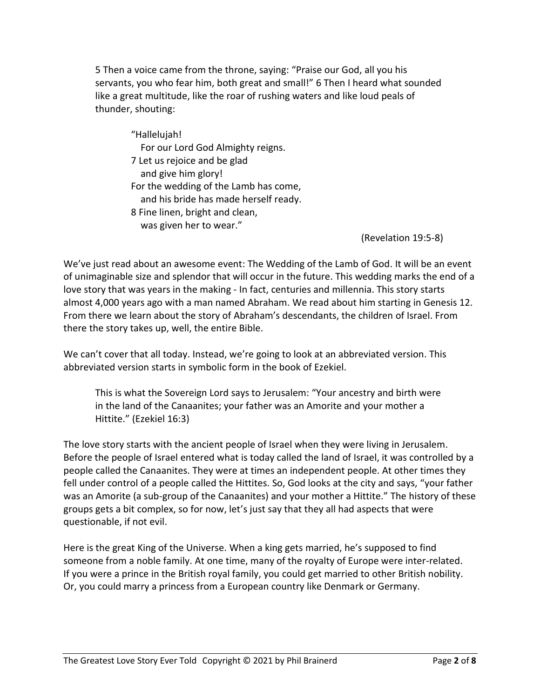5 Then a voice came from the throne, saying: "Praise our God, all you his servants, you who fear him, both great and small!" 6 Then I heard what sounded like a great multitude, like the roar of rushing waters and like loud peals of thunder, shouting:

"Hallelujah! For our Lord God Almighty reigns. 7 Let us rejoice and be glad and give him glory! For the wedding of the Lamb has come, and his bride has made herself ready. 8 Fine linen, bright and clean, was given her to wear."

(Revelation 19:5-8)

We've just read about an awesome event: The Wedding of the Lamb of God. It will be an event of unimaginable size and splendor that will occur in the future. This wedding marks the end of a love story that was years in the making - In fact, centuries and millennia. This story starts almost 4,000 years ago with a man named Abraham. We read about him starting in Genesis 12. From there we learn about the story of Abraham's descendants, the children of Israel. From there the story takes up, well, the entire Bible.

We can't cover that all today. Instead, we're going to look at an abbreviated version. This abbreviated version starts in symbolic form in the book of Ezekiel.

This is what the Sovereign Lord says to Jerusalem: "Your ancestry and birth were in the land of the Canaanites; your father was an Amorite and your mother a Hittite." (Ezekiel 16:3)

The love story starts with the ancient people of Israel when they were living in Jerusalem. Before the people of Israel entered what is today called the land of Israel, it was controlled by a people called the Canaanites. They were at times an independent people. At other times they fell under control of a people called the Hittites. So, God looks at the city and says, "your father was an Amorite (a sub-group of the Canaanites) and your mother a Hittite." The history of these groups gets a bit complex, so for now, let's just say that they all had aspects that were questionable, if not evil.

Here is the great King of the Universe. When a king gets married, he's supposed to find someone from a noble family. At one time, many of the royalty of Europe were inter-related. If you were a prince in the British royal family, you could get married to other British nobility. Or, you could marry a princess from a European country like Denmark or Germany.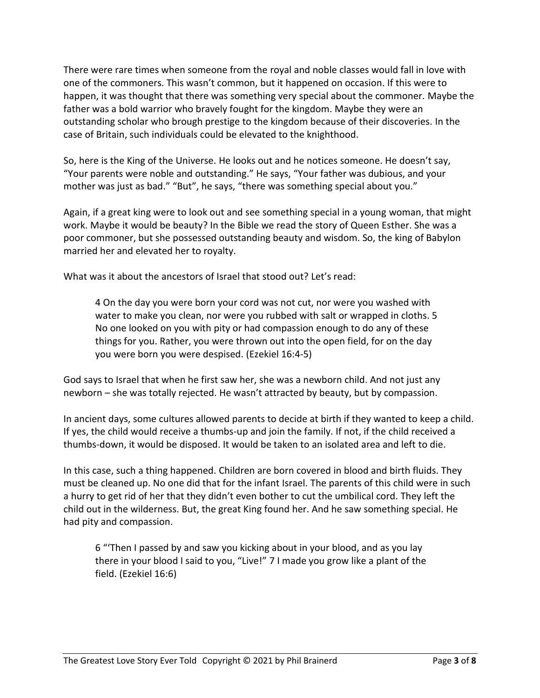There were rare times when someone from the royal and noble classes would fall in love with one of the commoners. This wasn't common, but it happened on occasion. If this were to happen, it was thought that there was something very special about the commoner. Maybe the father was a bold warrior who bravely fought for the kingdom. Maybe they were an outstanding scholar who brough prestige to the kingdom because of their discoveries. In the case of Britain, such individuals could be elevated to the knighthood.

So, here is the King of the Universe. He looks out and he notices someone. He doesn't say, "Your parents were noble and outstanding." He says, "Your father was dubious, and your mother was just as bad." "But", he says, "there was something special about you."

Again, if a great king were to look out and see something special in a young woman, that might work. Maybe it would be beauty? In the Bible we read the story of Queen Esther. She was a poor commoner, but she possessed outstanding beauty and wisdom. So, the king of Babylon married her and elevated her to royalty.

What was it about the ancestors of Israel that stood out? Let's read:

4 On the day you were born your cord was not cut, nor were you washed with water to make you clean, nor were you rubbed with salt or wrapped in cloths. 5 No one looked on you with pity or had compassion enough to do any of these things for you. Rather, you were thrown out into the open field, for on the day you were born you were despised. (Ezekiel 16:4-5)

God says to Israel that when he first saw her, she was a newborn child. And not just any newborn – she was totally rejected. He wasn't attracted by beauty, but by compassion.

In ancient days, some cultures allowed parents to decide at birth if they wanted to keep a child. If yes, the child would receive a thumbs-up and join the family. If not, if the child received a thumbs-down, it would be disposed. It would be taken to an isolated area and left to die.

In this case, such a thing happened. Children are born covered in blood and birth fluids. They must be cleaned up. No one did that for the infant Israel. The parents of this child were in such a hurry to get rid of her that they didn't even bother to cut the umbilical cord. They left the child out in the wilderness. But, the great King found her. And he saw something special. He had pity and compassion.

6 "'Then I passed by and saw you kicking about in your blood, and as you lay there in your blood I said to you, "Live!" 7 I made you grow like a plant of the field. (Ezekiel 16:6)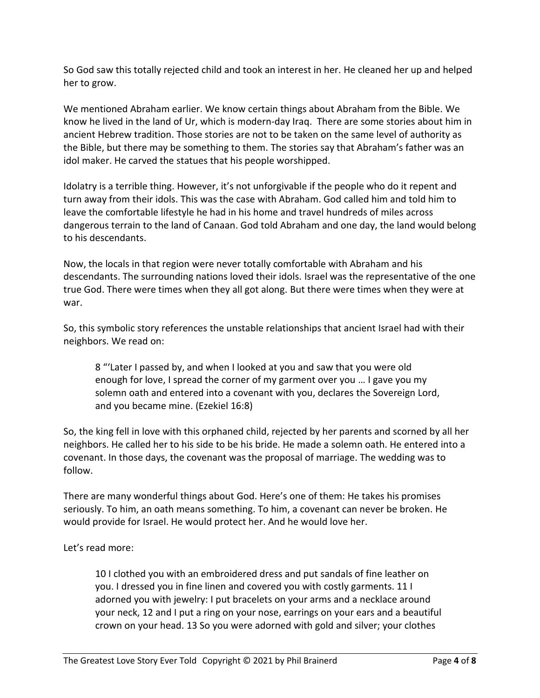So God saw this totally rejected child and took an interest in her. He cleaned her up and helped her to grow.

We mentioned Abraham earlier. We know certain things about Abraham from the Bible. We know he lived in the land of Ur, which is modern-day Iraq. There are some stories about him in ancient Hebrew tradition. Those stories are not to be taken on the same level of authority as the Bible, but there may be something to them. The stories say that Abraham's father was an idol maker. He carved the statues that his people worshipped.

Idolatry is a terrible thing. However, it's not unforgivable if the people who do it repent and turn away from their idols. This was the case with Abraham. God called him and told him to leave the comfortable lifestyle he had in his home and travel hundreds of miles across dangerous terrain to the land of Canaan. God told Abraham and one day, the land would belong to his descendants.

Now, the locals in that region were never totally comfortable with Abraham and his descendants. The surrounding nations loved their idols. Israel was the representative of the one true God. There were times when they all got along. But there were times when they were at war.

So, this symbolic story references the unstable relationships that ancient Israel had with their neighbors. We read on:

8 "'Later I passed by, and when I looked at you and saw that you were old enough for love, I spread the corner of my garment over you … I gave you my solemn oath and entered into a covenant with you, declares the Sovereign Lord, and you became mine. (Ezekiel 16:8)

So, the king fell in love with this orphaned child, rejected by her parents and scorned by all her neighbors. He called her to his side to be his bride. He made a solemn oath. He entered into a covenant. In those days, the covenant was the proposal of marriage. The wedding was to follow.

There are many wonderful things about God. Here's one of them: He takes his promises seriously. To him, an oath means something. To him, a covenant can never be broken. He would provide for Israel. He would protect her. And he would love her.

Let's read more:

10 I clothed you with an embroidered dress and put sandals of fine leather on you. I dressed you in fine linen and covered you with costly garments. 11 I adorned you with jewelry: I put bracelets on your arms and a necklace around your neck, 12 and I put a ring on your nose, earrings on your ears and a beautiful crown on your head. 13 So you were adorned with gold and silver; your clothes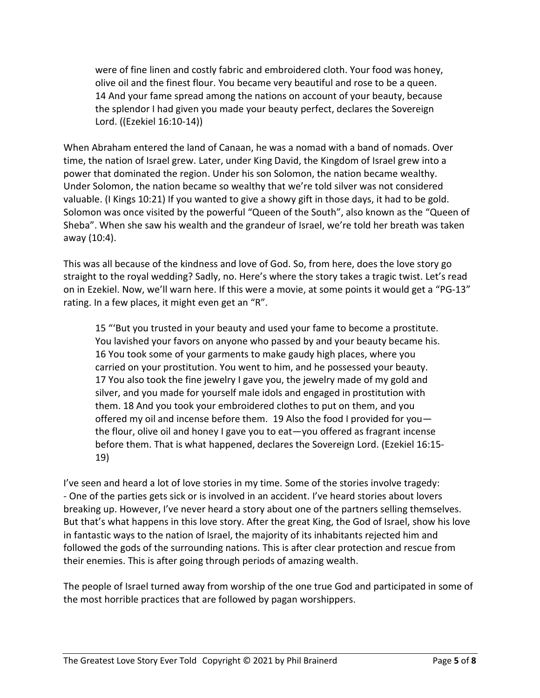were of fine linen and costly fabric and embroidered cloth. Your food was honey, olive oil and the finest flour. You became very beautiful and rose to be a queen. 14 And your fame spread among the nations on account of your beauty, because the splendor I had given you made your beauty perfect, declares the Sovereign Lord. ((Ezekiel 16:10-14))

When Abraham entered the land of Canaan, he was a nomad with a band of nomads. Over time, the nation of Israel grew. Later, under King David, the Kingdom of Israel grew into a power that dominated the region. Under his son Solomon, the nation became wealthy. Under Solomon, the nation became so wealthy that we're told silver was not considered valuable. (I Kings 10:21) If you wanted to give a showy gift in those days, it had to be gold. Solomon was once visited by the powerful "Queen of the South", also known as the "Queen of Sheba". When she saw his wealth and the grandeur of Israel, we're told her breath was taken away (10:4).

This was all because of the kindness and love of God. So, from here, does the love story go straight to the royal wedding? Sadly, no. Here's where the story takes a tragic twist. Let's read on in Ezekiel. Now, we'll warn here. If this were a movie, at some points it would get a "PG-13" rating. In a few places, it might even get an "R".

15 "'But you trusted in your beauty and used your fame to become a prostitute. You lavished your favors on anyone who passed by and your beauty became his. 16 You took some of your garments to make gaudy high places, where you carried on your prostitution. You went to him, and he possessed your beauty. 17 You also took the fine jewelry I gave you, the jewelry made of my gold and silver, and you made for yourself male idols and engaged in prostitution with them. 18 And you took your embroidered clothes to put on them, and you offered my oil and incense before them. 19 Also the food I provided for you the flour, olive oil and honey I gave you to eat—you offered as fragrant incense before them. That is what happened, declares the Sovereign Lord. (Ezekiel 16:15- 19)

I've seen and heard a lot of love stories in my time. Some of the stories involve tragedy: - One of the parties gets sick or is involved in an accident. I've heard stories about lovers breaking up. However, I've never heard a story about one of the partners selling themselves. But that's what happens in this love story. After the great King, the God of Israel, show his love in fantastic ways to the nation of Israel, the majority of its inhabitants rejected him and followed the gods of the surrounding nations. This is after clear protection and rescue from their enemies. This is after going through periods of amazing wealth.

The people of Israel turned away from worship of the one true God and participated in some of the most horrible practices that are followed by pagan worshippers.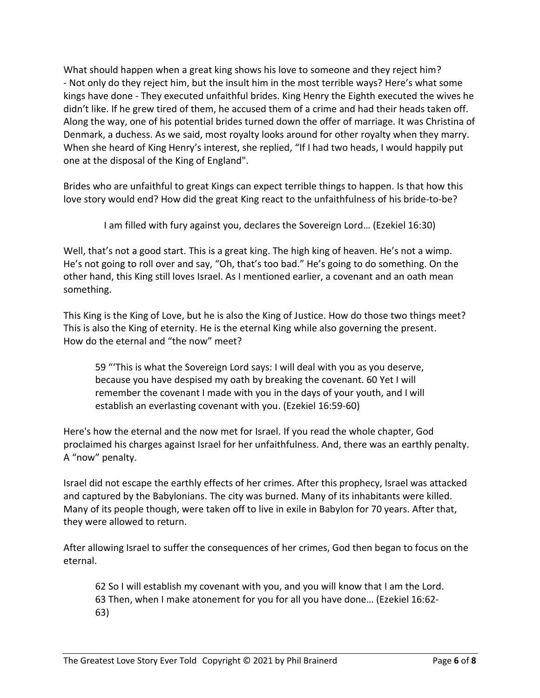What should happen when a great king shows his love to someone and they reject him? - Not only do they reject him, but the insult him in the most terrible ways? Here's what some kings have done - They executed unfaithful brides. King Henry the Eighth executed the wives he didn't like. If he grew tired of them, he accused them of a crime and had their heads taken off. Along the way, one of his potential brides turned down the offer of marriage. It was Christina of Denmark, a duchess. As we said, most royalty looks around for other royalty when they marry. When she heard of King Henry's interest, she replied, "If I had two heads, I would happily put one at the disposal of the King of England".

Brides who are unfaithful to great Kings can expect terrible things to happen. Is that how this love story would end? How did the great King react to the unfaithfulness of his bride-to-be?

I am filled with fury against you, declares the Sovereign Lord… (Ezekiel 16:30)

Well, that's not a good start. This is a great king. The high king of heaven. He's not a wimp. He's not going to roll over and say, "Oh, that's too bad." He's going to do something. On the other hand, this King still loves Israel. As I mentioned earlier, a covenant and an oath mean something.

This King is the King of Love, but he is also the King of Justice. How do those two things meet? This is also the King of eternity. He is the eternal King while also governing the present. How do the eternal and "the now" meet?

59 "'This is what the Sovereign Lord says: I will deal with you as you deserve, because you have despised my oath by breaking the covenant. 60 Yet I will remember the covenant I made with you in the days of your youth, and I will establish an everlasting covenant with you. (Ezekiel 16:59-60)

Here's how the eternal and the now met for Israel. If you read the whole chapter, God proclaimed his charges against Israel for her unfaithfulness. And, there was an earthly penalty. A "now" penalty.

Israel did not escape the earthly effects of her crimes. After this prophecy, Israel was attacked and captured by the Babylonians. The city was burned. Many of its inhabitants were killed. Many of its people though, were taken off to live in exile in Babylon for 70 years. After that, they were allowed to return.

After allowing Israel to suffer the consequences of her crimes, God then began to focus on the eternal.

62 So I will establish my covenant with you, and you will know that I am the Lord. 63 Then, when I make atonement for you for all you have done… (Ezekiel 16:62- 63)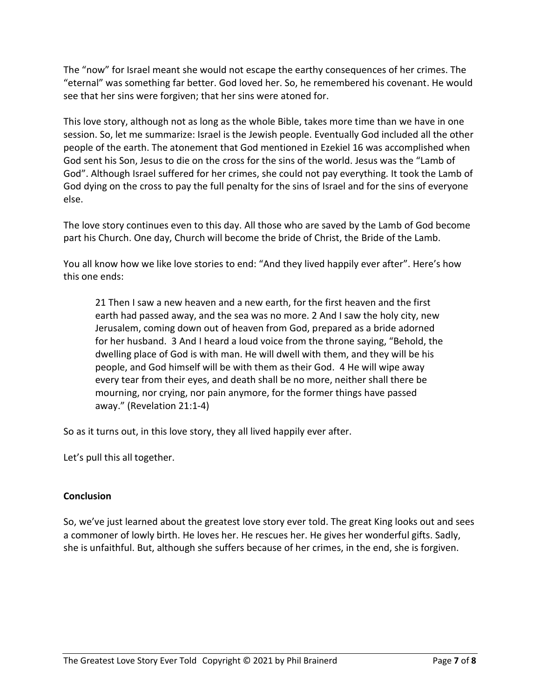The "now" for Israel meant she would not escape the earthy consequences of her crimes. The "eternal" was something far better. God loved her. So, he remembered his covenant. He would see that her sins were forgiven; that her sins were atoned for.

This love story, although not as long as the whole Bible, takes more time than we have in one session. So, let me summarize: Israel is the Jewish people. Eventually God included all the other people of the earth. The atonement that God mentioned in Ezekiel 16 was accomplished when God sent his Son, Jesus to die on the cross for the sins of the world. Jesus was the "Lamb of God". Although Israel suffered for her crimes, she could not pay everything. It took the Lamb of God dying on the cross to pay the full penalty for the sins of Israel and for the sins of everyone else.

The love story continues even to this day. All those who are saved by the Lamb of God become part his Church. One day, Church will become the bride of Christ, the Bride of the Lamb.

You all know how we like love stories to end: "And they lived happily ever after". Here's how this one ends:

21 Then I saw a new heaven and a new earth, for the first heaven and the first earth had passed away, and the sea was no more. 2 And I saw the holy city, new Jerusalem, coming down out of heaven from God, prepared as a bride adorned for her husband. 3 And I heard a loud voice from the throne saying, "Behold, the dwelling place of God is with man. He will dwell with them, and they will be his people, and God himself will be with them as their God. 4 He will wipe away every tear from their eyes, and death shall be no more, neither shall there be mourning, nor crying, nor pain anymore, for the former things have passed away." (Revelation 21:1-4)

So as it turns out, in this love story, they all lived happily ever after.

Let's pull this all together.

## **Conclusion**

So, we've just learned about the greatest love story ever told. The great King looks out and sees a commoner of lowly birth. He loves her. He rescues her. He gives her wonderful gifts. Sadly, she is unfaithful. But, although she suffers because of her crimes, in the end, she is forgiven.